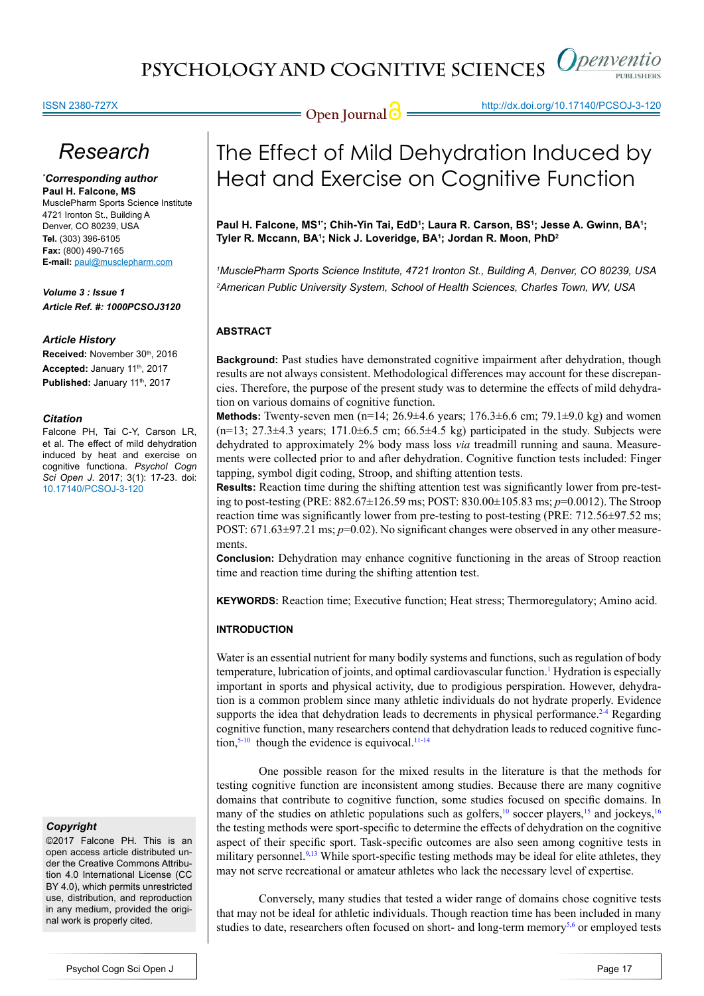#### ISSN 2380-727X

# *Research*

*\* Corresponding author* **Paul H. Falcone, MS** MusclePharm Sports Science Institute 4721 Ironton St., Building A Denver, CO 80239, USA **Tel.** (303) 396-6105 **Fax:** (800) 490-7165 **E-mail:** paul@musclepharm.com

*Volume 3 : Issue 1 Article Ref. #: 1000PCSOJ3120*

#### *Article History*

Received: November 30th, 2016 Accepted: January 11<sup>th</sup>, 2017 Published: January 11<sup>th</sup>, 2017

#### *Citation*

Falcone PH, Tai C-Y, Carson LR, et al. The effect of mild dehydration induced by heat and exercise on cognitive functiona. *Psychol Cogn Sci Open J*. 2017; 3(1): 17-23. doi: [10.17140/PCSOJ-3-120](http://dx.doi.org/10.17140/PCSOJ-3-120)

### *Copyright*

©2017 Falcone PH. This is an open access article distributed under the Creative Commons Attribution 4.0 International License (CC BY 4.0), which permits unrestricted use, distribution, and reproduction in any medium, provided the original work is properly cited.

# The Effect of Mild Dehydration Induced by Heat and Exercise on Cognitive Function

**Open Journal @** http://dx.doi.org/10.17140/PCSOJ-3-120

Paul H. Falcone, MS<sup>1</sup>'; Chih-Yin Tai, EdD<sup>1</sup>; Laura R. Carson, BS<sup>1</sup>; Jesse A. Gwinn, BA<sup>1</sup>; **Tyler R. Mccann, BA1 ; Nick J. Loveridge, BA1 ; Jordan R. Moon, PhD2**

*1 MusclePharm Sports Science Institute, 4721 Ironton St., Building A, Denver, CO 80239, USA 2 American Public University System, School of Health Sciences, Charles Town, WV, USA*

### **ABSTRACT**

**Background:** Past studies have demonstrated cognitive impairment after dehydration, though results are not always consistent. Methodological differences may account for these discrepancies. Therefore, the purpose of the present study was to determine the effects of mild dehydration on various domains of cognitive function.

**Methods:** Twenty-seven men  $(n=14; 26.9\pm4.6$  years;  $176.3\pm6.6$  cm;  $79.1\pm9.0$  kg) and women  $(n=13; 27.3\pm4.3 \text{ years}; 171.0\pm6.5 \text{ cm}; 66.5\pm4.5 \text{ kg})$  participated in the study. Subjects were dehydrated to approximately 2% body mass loss *via* treadmill running and sauna. Measurements were collected prior to and after dehydration. Cognitive function tests included: Finger tapping, symbol digit coding, Stroop, and shifting attention tests.

**Results:** Reaction time during the shifting attention test was significantly lower from pre-testing to post-testing (PRE: 882.67±126.59 ms; POST: 830.00±105.83 ms; *p*=0.0012). The Stroop reaction time was significantly lower from pre-testing to post-testing (PRE: 712.56±97.52 ms; POST:  $671.63\pm97.21$  ms;  $p=0.02$ ). No significant changes were observed in any other measurements.

**Conclusion:** Dehydration may enhance cognitive functioning in the areas of Stroop reaction time and reaction time during the shifting attention test.

**KEYWORDS:** Reaction time; Executive function; Heat stress; Thermoregulatory; Amino acid.

### **INTRODUCTION**

Water is an essential nutrient for many bodily systems and functions, such as regulation of body temperature, lubrication of joints, and optimal cardiovascular function.<sup>1</sup> Hydration is especially important in sports and physical activity, due to prodigious perspiration. However, dehydration is a common problem since many athletic individuals do not hydrate properly. Evidence supports the idea that dehydration leads to decrements in physical performance.<sup>2-4</sup> Regarding cognitive function, many researchers contend that dehydration leads to reduced cognitive function, $5-10$  though the evidence is equivocal.<sup>11-14</sup>

One possible reason for the mixed results in the literature is that the methods for testing cognitive function are inconsistent among studies. Because there are many cognitive domains that contribute to cognitive function, some studies focused on specific domains. In many of the studies on athletic populations such as golfers,<sup>10</sup> soccer players,<sup>15</sup> and jockeys,<sup>16</sup> the testing methods were sport-specific to determine the effects of dehydration on the cognitive aspect of their specific sport. Task-specific outcomes are also seen among cognitive tests in military personnel.<sup>9,13</sup> While sport-specific testing methods may be ideal for elite athletes, they may not serve recreational or amateur athletes who lack the necessary level of expertise.

Conversely, many studies that tested a wider range of domains chose cognitive tests that may not be ideal for athletic individuals. Though reaction time has been included in many studies to date, researchers often focused on short- and long-term memory $5.6$  or employed tests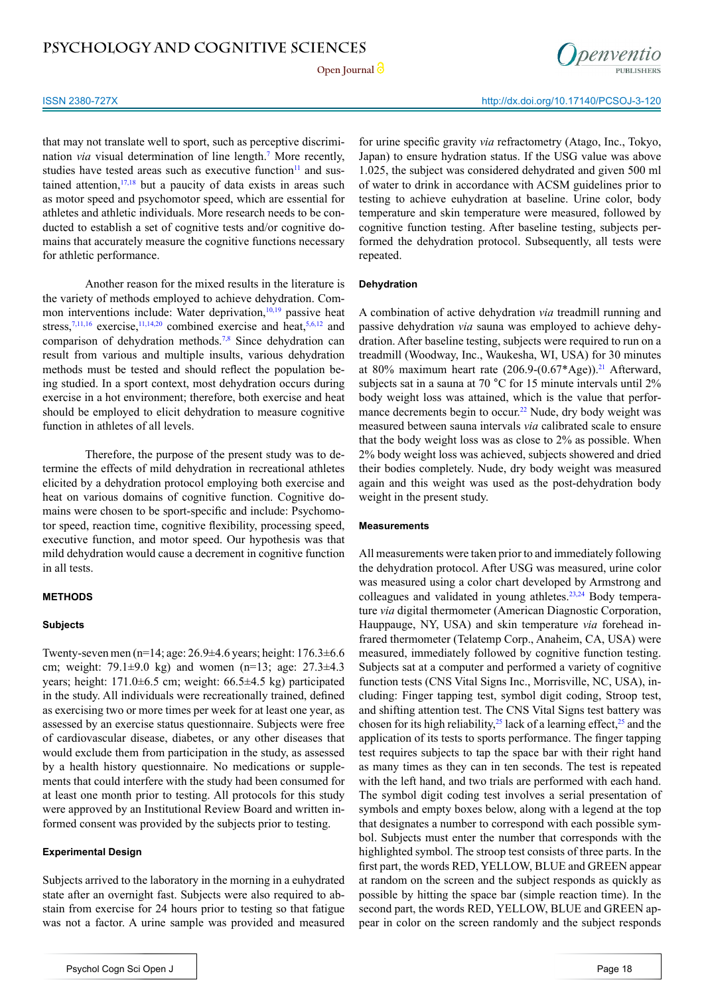**Open Journal**



that may not translate well to sport, such as perceptive discrimination *via* visual determination of line length.[7](#page-5-8) More recently, studies have tested areas such as executive function $11$  and sustained attention,  $17,18$  but a paucity of data exists in areas such as motor speed and psychomotor speed, which are essential for athletes and athletic individuals. More research needs to be conducted to establish a set of cognitive tests and/or cognitive domains that accurately measure the cognitive functions necessary for athletic performance.

Another reason for the mixed results in the literature is the variety of methods employed to achieve dehydration. Common interventions include: Water deprivation, $10,19$  passive heat stress, $7,11,16$  $7,11,16$  $7,11,16$  exercise, $11,14,20$  combined exercise and heat,  $5,6,12$  and comparison of dehydration methods.[7,8](#page-5-8) Since dehydration can result from various and multiple insults, various dehydration methods must be tested and should reflect the population being studied. In a sport context, most dehydration occurs during exercise in a hot environment; therefore, both exercise and heat should be employed to elicit dehydration to measure cognitive function in athletes of all levels.

Therefore, the purpose of the present study was to determine the effects of mild dehydration in recreational athletes elicited by a dehydration protocol employing both exercise and heat on various domains of cognitive function. Cognitive domains were chosen to be sport-specific and include: Psychomotor speed, reaction time, cognitive flexibility, processing speed, executive function, and motor speed. Our hypothesis was that mild dehydration would cause a decrement in cognitive function in all tests.

#### **METHODS**

#### **Subjects**

Twenty-seven men (n=14; age: 26.9±4.6 years; height: 176.3±6.6 cm; weight: 79.1±9.0 kg) and women (n=13; age: 27.3±4.3 years; height: 171.0±6.5 cm; weight: 66.5±4.5 kg) participated in the study. All individuals were recreationally trained, defined as exercising two or more times per week for at least one year, as assessed by an exercise status questionnaire. Subjects were free of cardiovascular disease, diabetes, or any other diseases that would exclude them from participation in the study, as assessed by a health history questionnaire. No medications or supplements that could interfere with the study had been consumed for at least one month prior to testing. All protocols for this study were approved by an Institutional Review Board and written informed consent was provided by the subjects prior to testing.

#### **Experimental Design**

Subjects arrived to the laboratory in the morning in a euhydrated state after an overnight fast. Subjects were also required to abstain from exercise for 24 hours prior to testing so that fatigue was not a factor. A urine sample was provided and measured for urine specific gravity *via* refractometry (Atago, Inc., Tokyo, Japan) to ensure hydration status. If the USG value was above 1.025, the subject was considered dehydrated and given 500 ml of water to drink in accordance with ACSM guidelines prior to testing to achieve euhydration at baseline. Urine color, body temperature and skin temperature were measured, followed by cognitive function testing. After baseline testing, subjects performed the dehydration protocol. Subsequently, all tests were repeated.

#### **Dehydration**

A combination of active dehydration *via* treadmill running and passive dehydration *via* sauna was employed to achieve dehydration. After baseline testing, subjects were required to run on a treadmill (Woodway, Inc., Waukesha, WI, USA) for 30 minutes at 80% maximum heart rate  $(206.9-(0.67)$ \*Age)).<sup>21</sup> Afterward, subjects sat in a sauna at 70 °C for 15 minute intervals until 2% body weight loss was attained, which is the value that performance decrements begin to occur.<sup>22</sup> Nude, dry body weight was measured between sauna intervals *via* calibrated scale to ensure that the body weight loss was as close to 2% as possible. When 2% body weight loss was achieved, subjects showered and dried their bodies completely. Nude, dry body weight was measured again and this weight was used as the post-dehydration body weight in the present study.

#### **Measurements**

All measurements were taken prior to and immediately following the dehydration protocol. After USG was measured, urine color was measured using a color chart developed by Armstrong and colleagues and validated in young athletes.<sup>23,24</sup> Body temperature *via* digital thermometer (American Diagnostic Corporation, Hauppauge, NY, USA) and skin temperature *via* forehead infrared thermometer (Telatemp Corp., Anaheim, CA, USA) were measured, immediately followed by cognitive function testing. Subjects sat at a computer and performed a variety of cognitive function tests (CNS Vital Signs Inc., Morrisville, NC, USA), including: Finger tapping test, symbol digit coding, Stroop test, and shifting attention test. The CNS Vital Signs test battery was chosen for its high reliability,<sup>[25](#page-6-3)</sup> lack of a learning effect,<sup>25</sup> and the application of its tests to sports performance. The finger tapping test requires subjects to tap the space bar with their right hand as many times as they can in ten seconds. The test is repeated with the left hand, and two trials are performed with each hand. The symbol digit coding test involves a serial presentation of symbols and empty boxes below, along with a legend at the top that designates a number to correspond with each possible symbol. Subjects must enter the number that corresponds with the highlighted symbol. The stroop test consists of three parts. In the first part, the words RED, YELLOW, BLUE and GREEN appear at random on the screen and the subject responds as quickly as possible by hitting the space bar (simple reaction time). In the second part, the words RED, YELLOW, BLUE and GREEN appear in color on the screen randomly and the subject responds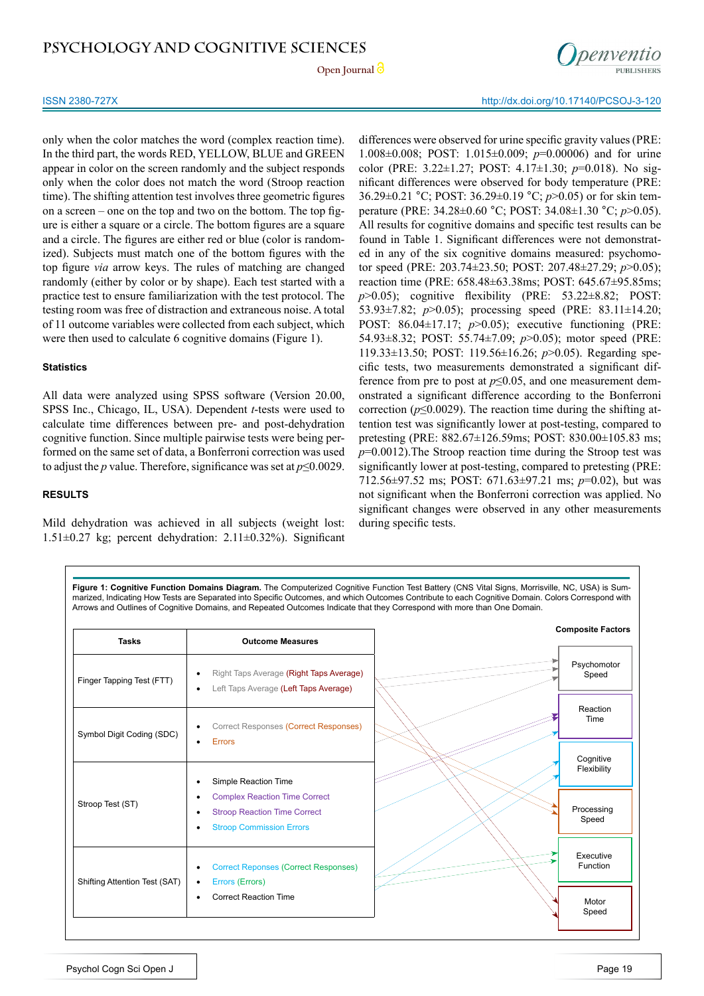#### **Open Journal**

#### ISSN 2380-727X http://dx.doi.org/10.17140/PCSOJ-3-120

only when the color matches the word (complex reaction time). In the third part, the words RED, YELLOW, BLUE and GREEN appear in color on the screen randomly and the subject responds only when the color does not match the word (Stroop reaction time). The shifting attention test involves three geometric figures on a screen – one on the top and two on the bottom. The top figure is either a square or a circle. The bottom figures are a square and a circle. The figures are either red or blue (color is randomized). Subjects must match one of the bottom figures with the top figure *via* arrow keys. The rules of matching are changed randomly (either by color or by shape). Each test started with a practice test to ensure familiarization with the test protocol. The testing room was free of distraction and extraneous noise. A total of 11 outcome variables were collected from each subject, which were then used to calculate 6 cognitive domains (Figure 1).

#### **Statistics**

All data were analyzed using SPSS software (Version 20.00, SPSS Inc., Chicago, IL, USA). Dependent *t*-tests were used to calculate time differences between pre- and post-dehydration cognitive function. Since multiple pairwise tests were being performed on the same set of data, a Bonferroni correction was used to adjust the *p* value. Therefore, significance was set at *p*≤0.0029.

#### **RESULTS**

Mild dehydration was achieved in all subjects (weight lost:  $1.51\pm0.27$  kg; percent dehydration:  $2.11\pm0.32\%$ ). Significant

differences were observed for urine specific gravity values (PRE: 1.008±0.008; POST: 1.015±0.009; *p*=0.00006) and for urine color (PRE: 3.22±1.27; POST: 4.17±1.30; *p*=0.018). No significant differences were observed for body temperature (PRE: 36.29±0.21 °C; POST: 36.29±0.19 °C; *p*>0.05) or for skin temperature (PRE: 34.28±0.60 °C; POST: 34.08±1.30 °C; *p*>0.05). All results for cognitive domains and specific test results can be found in Table 1. Significant differences were not demonstrated in any of the six cognitive domains measured: psychomotor speed (PRE: 203.74±23.50; POST: 207.48±27.29; *p*>0.05); reaction time (PRE: 658.48±63.38ms; POST: 645.67±95.85ms; *p*>0.05); cognitive flexibility (PRE: 53.22±8.82; POST: 53.93±7.82; *p*>0.05); processing speed (PRE: 83.11±14.20; POST: 86.04±17.17; *p*>0.05); executive functioning (PRE: 54.93±8.32; POST: 55.74±7.09; *p*>0.05); motor speed (PRE: 119.33±13.50; POST: 119.56±16.26; *p*>0.05). Regarding specific tests, two measurements demonstrated a significant difference from pre to post at  $p \le 0.05$ , and one measurement demonstrated a significant difference according to the Bonferroni correction ( $p \le 0.0029$ ). The reaction time during the shifting attention test was significantly lower at post-testing, compared to pretesting (PRE: 882.67±126.59ms; POST: 830.00±105.83 ms; *p*=0.0012).The Stroop reaction time during the Stroop test was significantly lower at post-testing, compared to pretesting (PRE: 712.56±97.52 ms; POST: 671.63±97.21 ms; *p*=0.02), but was not significant when the Bonferroni correction was applied. No significant changes were observed in any other measurements during specific tests.

Figure 1: Cognitive Function Domains Diagram. The Computerized Cognitive Function Test Battery (CNS Vital Signs, Morrisville, NC, USA) is Summarized, Indicating How Tests are Separated into Specific Outcomes, and which Outcomes Contribute to each Cognitive Domain. Colors Correspond with Arrows and Outlines of Cognitive Domains, and Repeated Outcomes Indicate that they Correspond with more than One Domain.

| <b>Tasks</b>                  | <b>Outcome Measures</b>                                                                                        | <b>Composite Factors</b> |
|-------------------------------|----------------------------------------------------------------------------------------------------------------|--------------------------|
| Finger Tapping Test (FTT)     | Right Taps Average (Right Taps Average)<br>٠<br>Left Taps Average (Left Taps Average)<br>٠                     | Psychomotor<br>Speed     |
| Symbol Digit Coding (SDC)     | Correct Responses (Correct Responses)<br>٠<br><b>Errors</b>                                                    | Reaction<br>Time         |
|                               | $\bullet$<br>Simple Reaction Time                                                                              | Cognitive<br>Flexibility |
| Stroop Test (ST)              | <b>Complex Reaction Time Correct</b><br><b>Stroop Reaction Time Correct</b><br><b>Stroop Commission Errors</b> | Processing<br>Speed      |
| Shifting Attention Test (SAT) | <b>Correct Reponses (Correct Responses)</b><br>٠<br>Errors (Errors)<br>٠                                       | Executive<br>Function    |
|                               | <b>Correct Reaction Time</b><br>٠                                                                              | Motor<br>Speed           |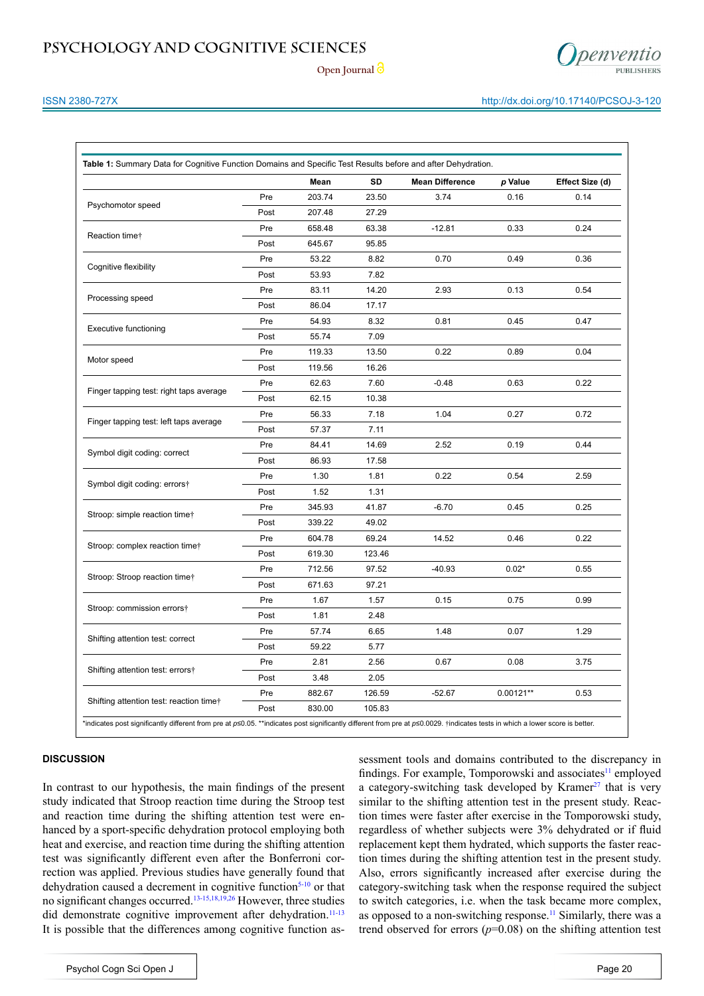

Open Journal<sup>2</sup>

### ISSN 2380-727X http://dx.doi.org/10.17140/PCSOJ-3-120

|                                         |      | Mean   | SD     | <b>Mean Difference</b> | p Value     | Effect Size (d) |
|-----------------------------------------|------|--------|--------|------------------------|-------------|-----------------|
|                                         | Pre  | 203.74 | 23.50  | 3.74                   | 0.16        | 0.14            |
| Psychomotor speed                       | Post | 207.48 | 27.29  |                        |             |                 |
|                                         | Pre  | 658.48 | 63.38  | $-12.81$               | 0.33        | 0.24            |
| Reaction time+                          | Post | 645.67 | 95.85  |                        |             |                 |
|                                         | Pre  | 53.22  | 8.82   | 0.70                   | 0.49        | 0.36            |
| Cognitive flexibility                   | Post | 53.93  | 7.82   |                        |             |                 |
|                                         | Pre  | 83.11  | 14.20  | 2.93                   | 0.13        | 0.54            |
| Processing speed                        | Post | 86.04  | 17.17  |                        |             |                 |
|                                         | Pre  | 54.93  | 8.32   | 0.81                   | 0.45        | 0.47            |
| <b>Executive functioning</b>            | Post | 55.74  | 7.09   |                        |             |                 |
|                                         | Pre  | 119.33 | 13.50  | 0.22                   | 0.89        | 0.04            |
| Motor speed                             | Post | 119.56 | 16.26  |                        |             |                 |
|                                         | Pre  | 62.63  | 7.60   | $-0.48$                | 0.63        | 0.22            |
| Finger tapping test: right taps average | Post | 62.15  | 10.38  |                        |             |                 |
|                                         | Pre  | 56.33  | 7.18   | 1.04                   | 0.27        | 0.72            |
| Finger tapping test: left taps average  | Post | 57.37  | 7.11   |                        |             |                 |
|                                         | Pre  | 84.41  | 14.69  | 2.52                   | 0.19        | 0.44            |
| Symbol digit coding: correct            | Post | 86.93  | 17.58  |                        |             |                 |
|                                         | Pre  | 1.30   | 1.81   | 0.22                   | 0.54        | 2.59            |
| Symbol digit coding: errors†            | Post | 1.52   | 1.31   |                        |             |                 |
|                                         | Pre  | 345.93 | 41.87  | $-6.70$                | 0.45        | 0.25            |
| Stroop: simple reaction time†           | Post | 339.22 | 49.02  |                        |             |                 |
|                                         | Pre  | 604.78 | 69.24  | 14.52                  | 0.46        | 0.22            |
| Stroop: complex reaction time†          | Post | 619.30 | 123.46 |                        |             |                 |
|                                         | Pre  | 712.56 | 97.52  | $-40.93$               | $0.02*$     | 0.55            |
| Stroop: Stroop reaction time†           | Post | 671.63 | 97.21  |                        |             |                 |
|                                         | Pre  | 1.67   | 1.57   | 0.15                   | 0.75        | 0.99            |
| Stroop: commission errors†              | Post | 1.81   | 2.48   |                        |             |                 |
|                                         | Pre  | 57.74  | 6.65   | 1.48                   | 0.07        | 1.29            |
| Shifting attention test: correct        | Post | 59.22  | 5.77   |                        |             |                 |
|                                         | Pre  | 2.81   | 2.56   | 0.67                   | 0.08        | 3.75            |
| Shifting attention test: errors†        | Post | 3.48   | 2.05   |                        |             |                 |
|                                         | Pre  | 882.67 | 126.59 | $-52.67$               | $0.00121**$ | 0.53            |
| Shifting attention test: reaction timet | Post | 830.00 | 105.83 |                        |             |                 |

#### **DISCUSSION**

In contrast to our hypothesis, the main findings of the present study indicated that Stroop reaction time during the Stroop test and reaction time during the shifting attention test were enhanced by a sport-specific dehydration protocol employing both heat and exercise, and reaction time during the shifting attention test was significantly different even after the Bonferroni correction was applied. Previous studies have generally found that dehydration caused a decrement in cognitive function<sup>5-10</sup> or that no significant changes occurred.[13-15,18,19,26](#page-5-10) However, three studies did demonstrate cognitive improvement after dehydration.<sup>11-13</sup> It is possible that the differences among cognitive function as-

sessment tools and domains contributed to the discrepancy in findings. For example, Tomporowski and associates $\frac{11}{11}$  $\frac{11}{11}$  $\frac{11}{11}$  employed a category-switching task developed by Kramer $27$  that is very similar to the shifting attention test in the present study. Reaction times were faster after exercise in the Tomporowski study, regardless of whether subjects were 3% dehydrated or if fluid replacement kept them hydrated, which supports the faster reaction times during the shifting attention test in the present study. Also, errors significantly increased after exercise during the category-switching task when the response required the subject to switch categories, i.e. when the task became more complex, as opposed to a non-switching response.<sup>[11](#page-5-3)</sup> Similarly, there was a trend observed for errors  $(p=0.08)$  on the shifting attention test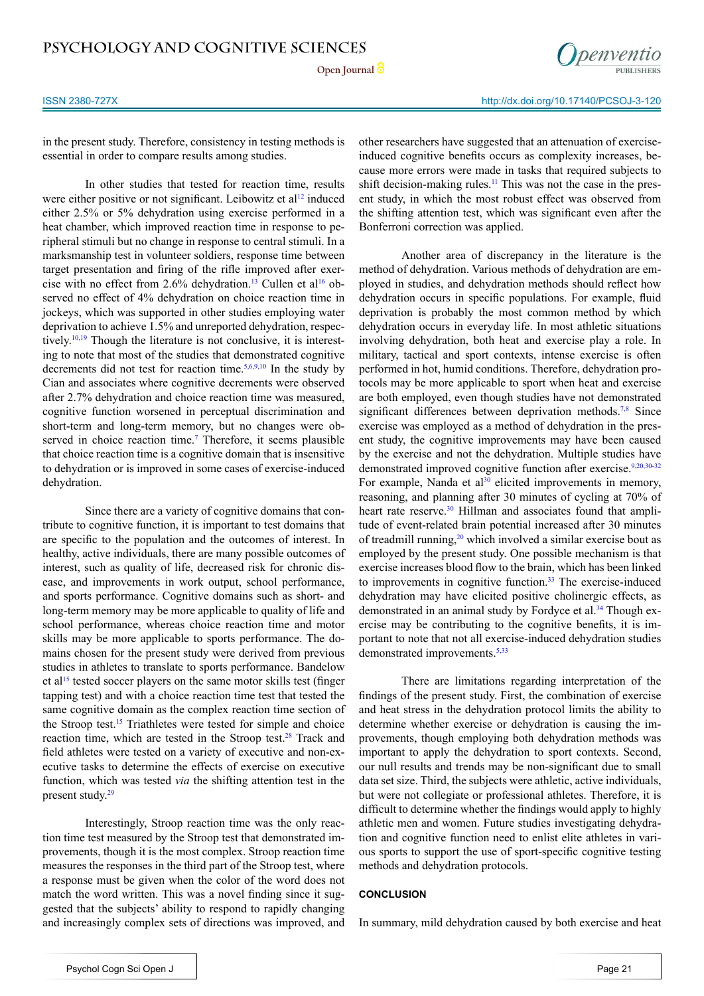**Open Journal**



in the present study. Therefore, consistency in testing methods is essential in order to compare results among studies.

In other studies that tested for reaction time, results were either positive or not significant. Leibowitz et al<sup>[12](#page-5-11)</sup> induced either 2.5% or 5% dehydration using exercise performed in a heat chamber, which improved reaction time in response to peripheral stimuli but no change in response to central stimuli. In a marksmanship test in volunteer soldiers, response time between target presentation and firing of the rifle improved after exercise with no effect from 2.6% dehydration.<sup>13</sup> Cullen et al<sup>16</sup> observed no effect of 4% dehydration on choice reaction time in jockeys, which was supported in other studies employing water deprivation to achieve 1.5% and unreported dehydration, respectively.<sup>10,19</sup> Though the literature is not conclusive, it is interesting to note that most of the studies that demonstrated cognitive decrements did not test for reaction time.<sup>5,6,9,10</sup> In the study by Cian and associates where cognitive decrements were observed after 2.7% dehydration and choice reaction time was measured, cognitive function worsened in perceptual discrimination and short-term and long-term memory, but no changes were ob-served in choice reaction time.<sup>[7](#page-5-8)</sup> Therefore, it seems plausible that choice reaction time is a cognitive domain that is insensitive to dehydration or is improved in some cases of exercise-induced dehydration.

Since there are a variety of cognitive domains that contribute to cognitive function, it is important to test domains that are specific to the population and the outcomes of interest. In healthy, active individuals, there are many possible outcomes of interest, such as quality of life, decreased risk for chronic disease, and improvements in work output, school performance, and sports performance. Cognitive domains such as short- and long-term memory may be more applicable to quality of life and school performance, whereas choice reaction time and motor skills may be more applicable to sports performance. The domains chosen for the present study were derived from previous studies in athletes to translate to sports performance. Bandelow et a[l15](#page-5-5) tested soccer players on the same motor skills test (finger tapping test) and with a choice reaction time test that tested the same cognitive domain as the complex reaction time section of the Stroop test[.15](#page-5-5) Triathletes were tested for simple and choice reaction time, which are tested in the Stroop test.<sup>28</sup> Track and field athletes were tested on a variety of executive and non-executive tasks to determine the effects of exercise on executive function, which was tested *via* the shifting attention test in the present study.<sup>[29](#page-6-6)</sup>

Interestingly, Stroop reaction time was the only reaction time test measured by the Stroop test that demonstrated improvements, though it is the most complex. Stroop reaction time measures the responses in the third part of the Stroop test, where a response must be given when the color of the word does not match the word written. This was a novel finding since it suggested that the subjects' ability to respond to rapidly changing and increasingly complex sets of directions was improved, and other researchers have suggested that an attenuation of exerciseinduced cognitive benefits occurs as complexity increases, because more errors were made in tasks that required subjects to shift decision-making rules. $<sup>11</sup>$  $<sup>11</sup>$  $<sup>11</sup>$  This was not the case in the pres-</sup> ent study, in which the most robust effect was observed from the shifting attention test, which was significant even after the Bonferroni correction was applied.

Another area of discrepancy in the literature is the method of dehydration. Various methods of dehydration are employed in studies, and dehydration methods should reflect how dehydration occurs in specific populations. For example, fluid deprivation is probably the most common method by which dehydration occurs in everyday life. In most athletic situations involving dehydration, both heat and exercise play a role. In military, tactical and sport contexts, intense exercise is often performed in hot, humid conditions. Therefore, dehydration protocols may be more applicable to sport when heat and exercise are both employed, even though studies have not demonstrated significant differences between deprivation methods.<sup>[7,8](#page-5-8)</sup> Since exercise was employed as a method of dehydration in the present study, the cognitive improvements may have been caused by the exercise and not the dehydration. Multiple studies have demonstrated improved cognitive function after exercise.<sup>9,[20,30-32](#page-6-7)</sup> For example, Nanda et al $30$  elicited improvements in memory, reasoning, and planning after 30 minutes of cycling at 70% of heart rate reserve.<sup>30</sup> Hillman and associates found that amplitude of event-related brain potential increased after 30 minutes of treadmill running,<sup>20</sup> which involved a similar exercise bout as employed by the present study. One possible mechanism is that exercise increases blood flow to the brain, which has been linked to improvements in cognitive function.<sup>33</sup> The exercise-induced dehydration may have elicited positive cholinergic effects, as demonstrated in an animal study by Fordyce et al.<sup>34</sup> Though exercise may be contributing to the cognitive benefits, it is important to note that not all exercise-induced dehydration studies demonstrated improvements.<sup>[5,](#page-5-2)[33](#page-6-9)</sup>

There are limitations regarding interpretation of the findings of the present study. First, the combination of exercise and heat stress in the dehydration protocol limits the ability to determine whether exercise or dehydration is causing the improvements, though employing both dehydration methods was important to apply the dehydration to sport contexts. Second, our null results and trends may be non-significant due to small data set size. Third, the subjects were athletic, active individuals, but were not collegiate or professional athletes. Therefore, it is difficult to determine whether the findings would apply to highly athletic men and women. Future studies investigating dehydration and cognitive function need to enlist elite athletes in various sports to support the use of sport-specific cognitive testing methods and dehydration protocols.

#### **CONCLUSION**

In summary, mild dehydration caused by both exercise and heat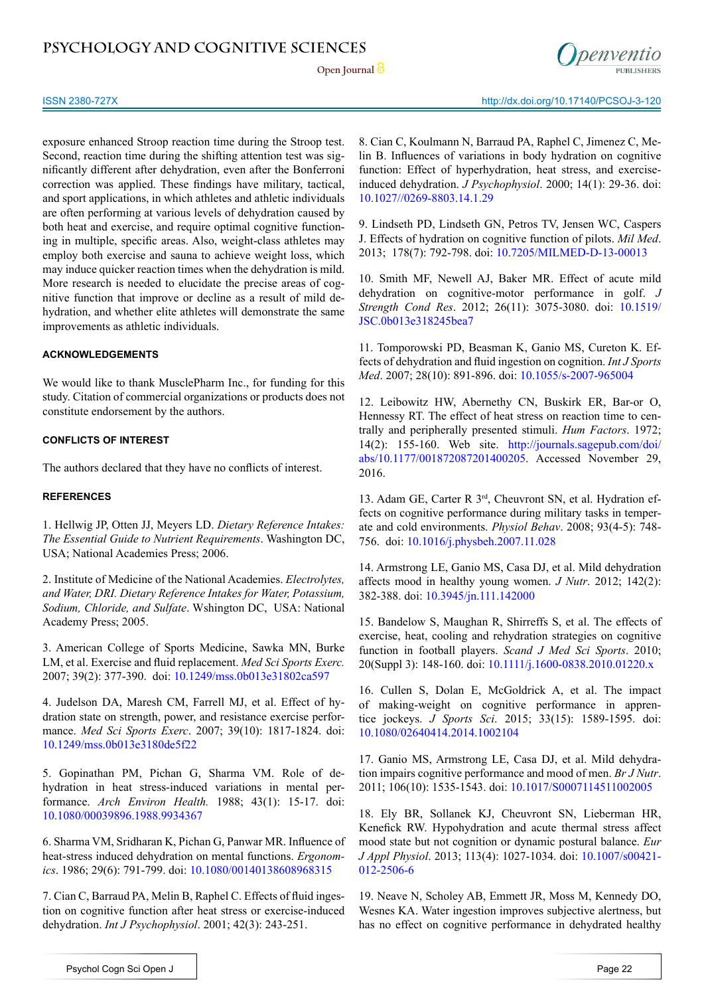## **PSYCHOLOGY AND COGNITIVE SCIENCES**

Open Journal<sup>2</sup>



exposure enhanced Stroop reaction time during the Stroop test. Second, reaction time during the shifting attention test was significantly different after dehydration, even after the Bonferroni correction was applied. These findings have military, tactical, and sport applications, in which athletes and athletic individuals are often performing at various levels of dehydration caused by both heat and exercise, and require optimal cognitive functioning in multiple, specific areas. Also, weight-class athletes may employ both exercise and sauna to achieve weight loss, which may induce quicker reaction times when the dehydration is mild. More research is needed to elucidate the precise areas of cognitive function that improve or decline as a result of mild dehydration, and whether elite athletes will demonstrate the same improvements as athletic individuals.

#### **ACKNOWLEDGEMENTS**

We would like to thank MusclePharm Inc., for funding for this study. Citation of commercial organizations or products does not constitute endorsement by the authors.

#### **CONFLICTS OF INTEREST**

The authors declared that they have no conflicts of interest.

#### **REFERENCES**

<span id="page-5-0"></span>1. Hellwig JP, Otten JJ, Meyers LD. *Dietary Reference Intakes: The Essential Guide to Nutrient Requirements*. Washington DC, USA; National Academies Press; 2006.

<span id="page-5-1"></span>2. Institute of Medicine of the National Academies. *Electrolytes, and Water, DRI. Dietary Reference Intakes for Water, Potassium, Sodium, Chloride, and Sulfate*. Wshington DC, USA: National Academy Press; 2005.

3. American College of Sports Medicine, Sawka MN, Burke LM, et al. Exercise and fluid replacement. *Med Sci Sports Exerc.* 2007; 39(2): 377-390. doi: [10.1249/mss.0b013e31802ca597](http://journals.lww.com/acsm-msse/Citation/2007/02000/Exercise_and_Fluid_Replacement.22.aspx)

4. Judelson DA, Maresh CM, Farrell MJ, et al. Effect of hydration state on strength, power, and resistance exercise performance. *Med Sci Sports Exerc*. 2007; 39(10): 1817-1824. doi: [10.1249/mss.0b013e3180de5f22](http://journals.lww.com/acsm-msse/pages/articleviewer.aspx%3Fyear%3D2007%26issue%3D10000%26article%3D00019%26type%3Dabstract)

<span id="page-5-2"></span>5. Gopinathan PM, Pichan G, Sharma VM. Role of dehydration in heat stress-induced variations in mental performance. *Arch Environ Health.* 1988; 43(1): 15-17. doi: [10.1080/00039896.1988.9934367](http://www.tandfonline.com/doi/abs/10.1080/00039896.1988.9934367)

6. Sharma VM, Sridharan K, Pichan G, Panwar MR. Influence of heat-stress induced dehydration on mental functions. *Ergonomics*. 1986; 29(6): 791-799. doi: [10.1080/00140138608968315](http://www.tandfonline.com/doi/abs/10.1080/00140138608968315)

<span id="page-5-8"></span>7. Cian C, Barraud PA, Melin B, Raphel C. Effects of fluid ingestion on cognitive function after heat stress or exercise-induced dehydration. *Int J Psychophysiol*. 2001; 42(3): 243-251.

8. Cian C, Koulmann N, Barraud PA, Raphel C, Jimenez C, Melin B. Influences of variations in body hydration on cognitive function: Effect of hyperhydration, heat stress, and exerciseinduced dehydration. *J Psychophysiol*. 2000; 14(1): 29-36. doi: [10.1027//0269-8803.14.1.29](http://psycnet.apa.org/journals/jop/14/1/29/)

<span id="page-5-7"></span>9. Lindseth PD, Lindseth GN, Petros TV, Jensen WC, Caspers J. Effects of hydration on cognitive function of pilots. *Mil Med*. 2013; 178(7): 792-798. doi: [10.7205/MILMED-D-13-00013](http://militarymedicine.amsus.org/doi/abs/10.7205/MILMED-D-13-00013)

<span id="page-5-4"></span>10. Smith MF, Newell AJ, Baker MR. Effect of acute mild dehydration on cognitive-motor performance in golf. *J Strength Cond Res*. 2012; 26(11): 3075-3080. doi: [10.1519/](http://journals.lww.com/nsca-jscr/pages/articleviewer.aspx%3Fyear%3D2012%26issue%3D11000%26article%3D00023%26type%3Dabstract) [JSC.0b013e318245bea7](http://journals.lww.com/nsca-jscr/pages/articleviewer.aspx%3Fyear%3D2012%26issue%3D11000%26article%3D00023%26type%3Dabstract)

<span id="page-5-3"></span>11. Tomporowski PD, Beasman K, Ganio MS, Cureton K. Effects of dehydration and fluid ingestion on cognition. *Int J Sports Med*. 2007; 28(10): 891-896. doi: [10.1055/s-2007-965004](https://www.thieme-connect.com/DOI/DOI%3F10.1055/s-2007-965004)

<span id="page-5-11"></span>12. Leibowitz HW, Abernethy CN, Buskirk ER, Bar-or O, Hennessy RT. The effect of heat stress on reaction time to centrally and peripherally presented stimuli. *Hum Factors*. 1972; 14(2): 155-160. Web site. [http://journals.sagepub.com/doi/](http://journals.sagepub.com/doi/abs/10.1177/001872087201400205) [abs/10.1177/001872087201400205.](http://journals.sagepub.com/doi/abs/10.1177/001872087201400205) Accessed November 29, 2016.

<span id="page-5-10"></span>13. Adam GE, Carter R 3rd, Cheuvront SN, et al. Hydration effects on cognitive performance during military tasks in temperate and cold environments. *Physiol Behav*. 2008; 93(4-5): 748- 756. doi: [10.1016/j.physbeh.2007.11.028](http://www.sciencedirect.com/science/article/pii/S0031938407004738)

14. Armstrong LE, Ganio MS, Casa DJ, et al. Mild dehydration affects mood in healthy young women. *J Nutr*. 2012; 142(2): 382-388. doi: [10.3945/jn.111.142000](http://jn.nutrition.org/content/142/2/382.long)

<span id="page-5-5"></span>15. Bandelow S, Maughan R, Shirreffs S, et al. The effects of exercise, heat, cooling and rehydration strategies on cognitive function in football players. *Scand J Med Sci Sports*. 2010; 20(Suppl 3): 148-160. doi: [10.1111/j.1600-0838.2010.01220.x](http://onlinelibrary.wiley.com/doi/10.1111/j.1600-0838.2010.01220.x/abstract%3Bjsessionid%3DBBE2423A86A4696C0BB22E9763E7E324.f03t04%3FsystemMessage%3DWiley%2BOnline%2BLibrary%2BJournal%2Bsubscribe%2Band%2Brenew%2Bpages%2Bfor%2Bsome%2Bjournals%2Bwill%2Bbe%2Bunavailable%2Bon%2BWednesday%2B11th%2BJanuary%2B2017%2Bfrom%2B06%253A00-12%253A00%2BGMT%2B%252F%2B01%253A00-07%253A00%2BEST%2B%252F%2B14%253A00-20%253A00%2BSGT%2Bfor%2Bessential%2Bmaintenance.%2BApologies%2Bfor%2Bthe%2Binconvenience)

<span id="page-5-6"></span>16. Cullen S, Dolan E, McGoldrick A, et al. The impact of making-weight on cognitive performance in apprentice jockeys. *J Sports Sci*. 2015; 33(15): 1589-1595. doi: [10.1080/02640414.2014.1002104](http://www.tandfonline.com/doi/abs/10.1080/02640414.2014.1002104)

<span id="page-5-9"></span>17. Ganio MS, Armstrong LE, Casa DJ, et al. Mild dehydration impairs cognitive performance and mood of men. *Br J Nutr*. 2011; 106(10): 1535-1543. doi: [10.1017/S0007114511002005](https://www.cambridge.org/core/journals/british-journal-of-nutrition/article/div-classtitlemild-dehydration-impairs-cognitive-performance-and-mood-of-mendiv/3388AB36B8DF73E844C9AD19271A75BF)

18. Ely BR, Sollanek KJ, Cheuvront SN, Lieberman HR, Kenefick RW. Hypohydration and acute thermal stress affect mood state but not cognition or dynamic postural balance. *Eur J Appl Physiol*. 2013; 113(4): 1027-1034. doi: [10.1007/s00421-](http://link.springer.com/article/10.1007%252Fs00421-012-2506-6) [012-2506-6](http://link.springer.com/article/10.1007%252Fs00421-012-2506-6)

19. Neave N, Scholey AB, Emmett JR, Moss M, Kennedy DO, Wesnes KA. Water ingestion improves subjective alertness, but has no effect on cognitive performance in dehydrated healthy